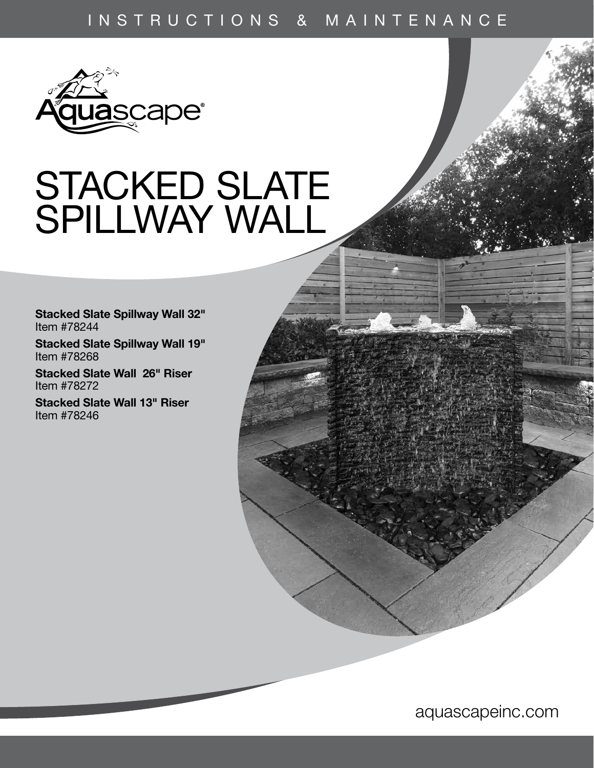# INSTRUCTIONS & MAINTENANCE



# STACKED SLATE SPILLWAY WALL

Stacked Slate Spillway Wall 32" Item #78244

Stacked Slate Spillway Wall 19" Item #78268

Stacked Slate Wall 26" Riser Item #78272

Stacked Slate Wall 13" Riser Item #78246

aquascapeinc.com